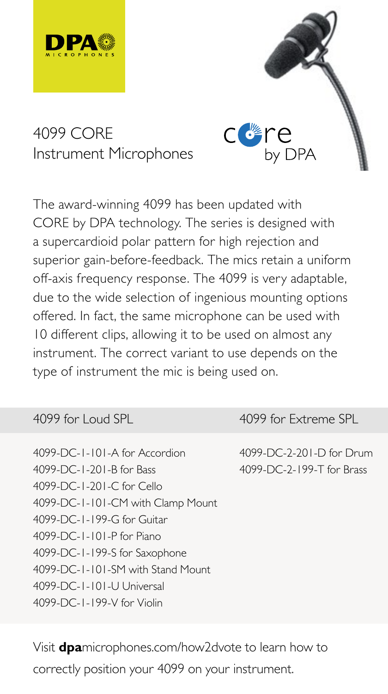



The award-winning 4099 has been updated with CORE by DPA technology. The series is designed with a supercardioid polar pattern for high rejection and superior gain-before-feedback. The mics retain a uniform off-axis frequency response. The 4099 is very adaptable, due to the wide selection of ingenious mounting options offered. In fact, the same microphone can be used with 10 different clips, allowing it to be used on almost any instrument. The correct variant to use depends on the type of instrument the mic is being used on.

c Gre .<br>by DPA

# 4099 for Loud SPL

4099-DC-1-101-A for Accordion 4099-DC-1-201-B for Bass 4099-DC-1-201-C for Cello 4099-DC-1-101-CM with Clamp Mount 4099-DC-1-199-G for Guitar 4099-DC-1-101-P for Piano 4099-DC-1-199-S for Saxophone 4099-DC-1-101-SM with Stand Mount 4099-DC-1-101-U Universal 4099-DC-1-199-V for Violin

4099 for Extreme SPL

4099-DC-2-201-D for Drum 4099-DC-2-199-T for Brass

Visit **dpa**microphones.com/how2dvote to learn how to correctly position your 4099 on your instrument.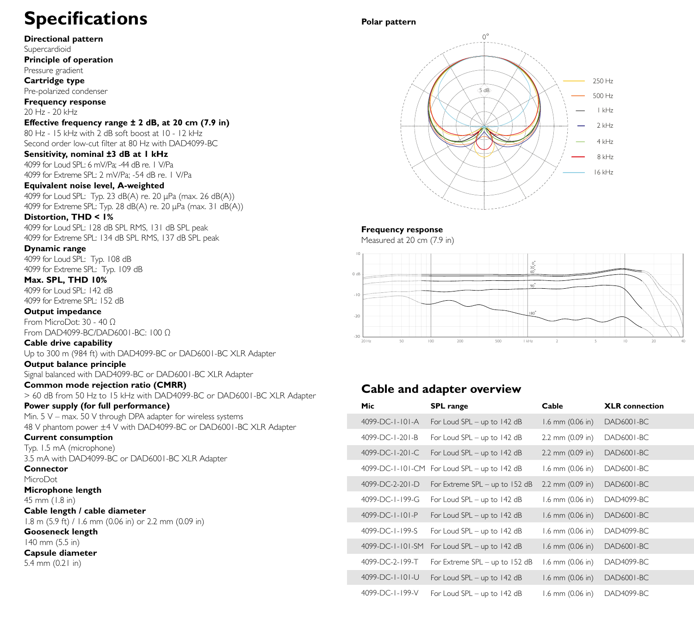# **Specifications**

#### **Directional pattern**

Supercardioid **Principle of operation**

Pressure gradient **Cartridge type**

Pre-polarized condenser

**Frequency response** 20 Hz - 20 kHz

**Effective frequency range ± 2 dB, at 20 cm (7.9 in)** 80 Hz - 15 kHz with 2 dB soft boost at 10 - 12 kHz

Second order low-cut filter at 80 Hz with DAD4099-BC

**Sensitivity, nominal ±3 dB at 1 kHz** 4099 for Loud SPL: 6 mV/Pa; -44 dB re. 1 V/Pa 4099 for Extreme SPL: 2 mV/Pa; -54 dB re. 1 V/Pa

#### **Equivalent noise level, A-weighted**

4099 for Loud SPL: Typ. 23 dB(A) re. 20 μPa (max. 26 dB(A)) 4099 for Extreme SPL: Typ. 28 dB(A) re. 20 μPa (max. 31 dB(A))

#### **Distortion, THD < 1%**

4099 for Loud SPL: 128 dB SPL RMS, 131 dB SPL peak 4099 for Extreme SPL: 134 dB SPL RMS, 137 dB SPL peak

### **Dynamic range**

4099 for Loud SPL: Typ. 108 dB 4099 for Extreme SPL: Typ. 109 dB

#### **Max. SPL, THD 10%**

4099 for Loud SPL: 142 dB 4099 for Extreme SPL: 152 dB

**Output impedance** From MicroDot: 30 - 40 Ω From DAD4099-BC/DAD6001-BC: 100 Ω

#### **Cable drive capability**

Up to 300 m (984 ft) with DAD4099-BC or DAD6001-BC XLR Adapter

### **Output balance principle**

Signal balanced with DAD4099-BC or DAD6001-BC XLR Adapter

**Common mode rejection ratio (CMRR)** > 60 dB from 50 Hz to 15 kHz with DAD4099-BC or DAD6001-BC XLR Adapter

#### **Power supply (for full performance)** Min. 5 V – max. 50 V through DPA adapter for wireless systems 48 V phantom power ±4 V with DAD4099-BC or DAD6001-BC XLR Adapter

#### **Current consumption**

Typ. 1.5 mA (microphone) 3.5 mA with DAD4099-BC or DAD6001-BC XLR Adapter

#### **Connector**

MicroDot **Microphone length**

45 mm (1.8 in)

#### **Cable length / cable diameter**

1.8 m (5.9 ft) / 1.6 mm (0.06 in) or 2.2 mm (0.09 in) **Gooseneck length** 

## 140 mm (5.5 in)

**Capsule diameter**

5.4 mm (0.21 in)



### **Frequency response**

Measured at 20 cm (7.9 in)



# **Cable and adapter overview**

| Mic               | <b>SPL</b> range               | Cable            | <b>XLR</b> connection |
|-------------------|--------------------------------|------------------|-----------------------|
| $4099-DC-1-101-A$ | For Loud SPL - up to 142 dB    | 1.6 mm (0.06 in) | DAD6001-BC            |
| 4099-DC-1-201-B   | For Loud SPL - up to 142 dB    | 2.2 mm (0.09 in) | DAD6001-BC            |
| 4099-DC-1-201-C   | For Loud SPL - up to 142 dB    | 2.2 mm (0.09 in) | DAD6001-BC            |
| 4099-DC-1-101-CM  | For Loud SPL - up to 142 dB    | 1.6 mm (0.06 in) | DAD6001-BC            |
| 4099-DC-2-201-D   | For Extreme SPL - up to 152 dB | 2.2 mm (0.09 in) | DAD6001-BC            |
| 4099-DC-1-199-G   | For Loud SPL - up to 142 dB    | 1.6 mm (0.06 in) | DAD4099-RC            |
| $4099-DC-1-101-P$ | For Loud SPL - up to 142 dB    | 1.6 mm (0.06 in) | DAD6001-BC            |
| 4099-DC-1-199-S   | For Loud SPL - up to 142 dB    | 1.6 mm (0.06 in) | DAD4099-BC            |
| 4099-DC-1-101-SM  | For Loud SPL - up to 142 dB    | 1.6 mm (0.06 in) | DAD6001-BC            |
| 4099-DC-2-199-T   | For Extreme SPL - up to 152 dB | 1.6 mm (0.06 in) | DAD4099-BC            |
| 4099-DC-1-101-U   | For Loud SPL - up to 142 dB    | 1.6 mm (0.06 in) | DAD6001-BC            |
| 4099-DC-1-199-V   | For Loud SPL - up to 142 dB    | 1.6 mm (0.06 in) | DAD4099-RC            |

#### **Polar pattern**